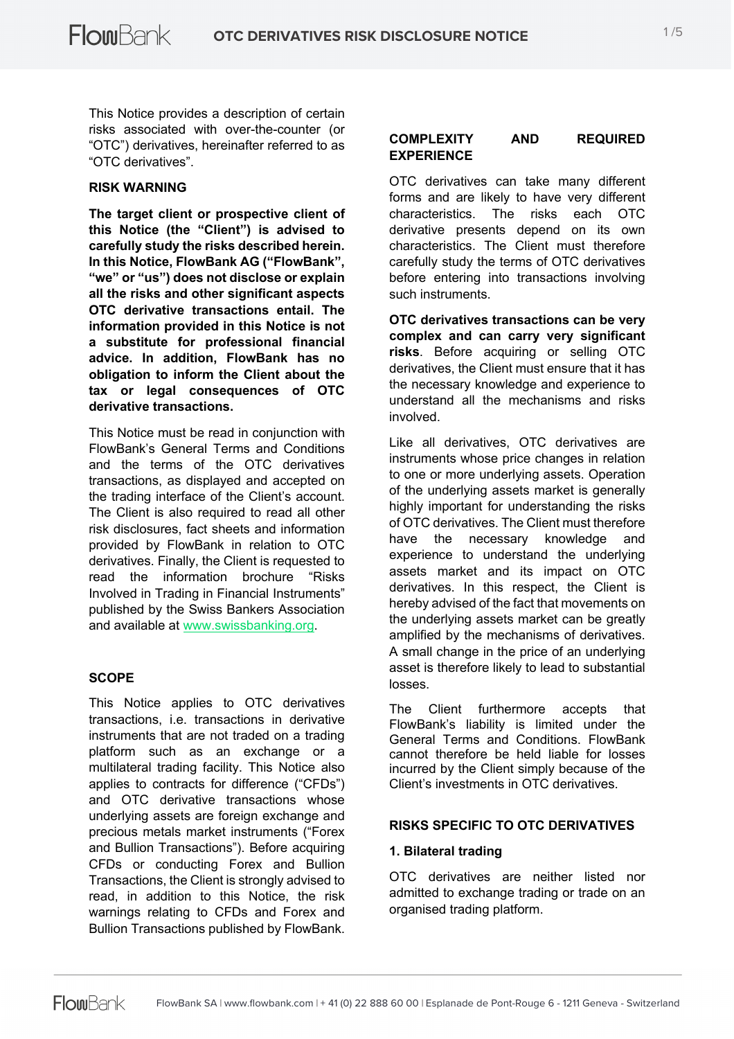This Notice provides a description of certain risks associated with over-the-counter (or "OTC") derivatives, hereinafter referred to as "OTC derivatives".

#### **RISK WARNING**

**The target client or prospective client of this Notice (the "Client") is advised to carefully study the risks described herein. In this Notice, FlowBank AG ("FlowBank", "we" or "us") does not disclose or explain all the risks and other significant aspects OTC derivative transactions entail. The information provided in this Notice is not a substitute for professional financial advice. In addition, FlowBank has no obligation to inform the Client about the tax or legal consequences of OTC derivative transactions.**

This Notice must be read in conjunction with FlowBank's General Terms and Conditions and the terms of the OTC derivatives transactions, as displayed and accepted on the trading interface of the Client's account. The Client is also required to read all other risk disclosures, fact sheets and information provided by FlowBank in relation to OTC derivatives. Finally, the Client is requested to read the information brochure "Risks Involved in Trading in Financial Instruments" published by the Swiss Bankers Association and available at www.swissbanking.org.

## **SCOPE**

This Notice applies to OTC derivatives transactions, i.e. transactions in derivative instruments that are not traded on a trading platform such as an exchange or a multilateral trading facility. This Notice also applies to contracts for difference ("CFDs") and OTC derivative transactions whose underlying assets are foreign exchange and precious metals market instruments ("Forex and Bullion Transactions"). Before acquiring CFDs or conducting Forex and Bullion Transactions, the Client is strongly advised to read, in addition to this Notice, the risk warnings relating to CFDs and Forex and Bullion Transactions published by FlowBank.

#### **COMPLEXITY AND REQUIRED EXPERIENCE**

OTC derivatives can take many different forms and are likely to have very different characteristics. The risks each OTC derivative presents depend on its own characteristics. The Client must therefore carefully study the terms of OTC derivatives before entering into transactions involving such instruments.

**OTC derivatives transactions can be very complex and can carry very significant risks**. Before acquiring or selling OTC derivatives, the Client must ensure that it has the necessary knowledge and experience to understand all the mechanisms and risks involved.

Like all derivatives, OTC derivatives are instruments whose price changes in relation to one or more underlying assets. Operation of the underlying assets market is generally highly important for understanding the risks of OTC derivatives. The Client must therefore have the necessary knowledge and experience to understand the underlying assets market and its impact on OTC derivatives. In this respect, the Client is hereby advised of the fact that movements on the underlying assets market can be greatly amplified by the mechanisms of derivatives. A small change in the price of an underlying asset is therefore likely to lead to substantial losses.

The Client furthermore accepts that FlowBank's liability is limited under the General Terms and Conditions. FlowBank cannot therefore be held liable for losses incurred by the Client simply because of the Client's investments in OTC derivatives.

## **RISKS SPECIFIC TO OTC DERIVATIVES**

#### **1. Bilateral trading**

OTC derivatives are neither listed nor admitted to exchange trading or trade on an organised trading platform.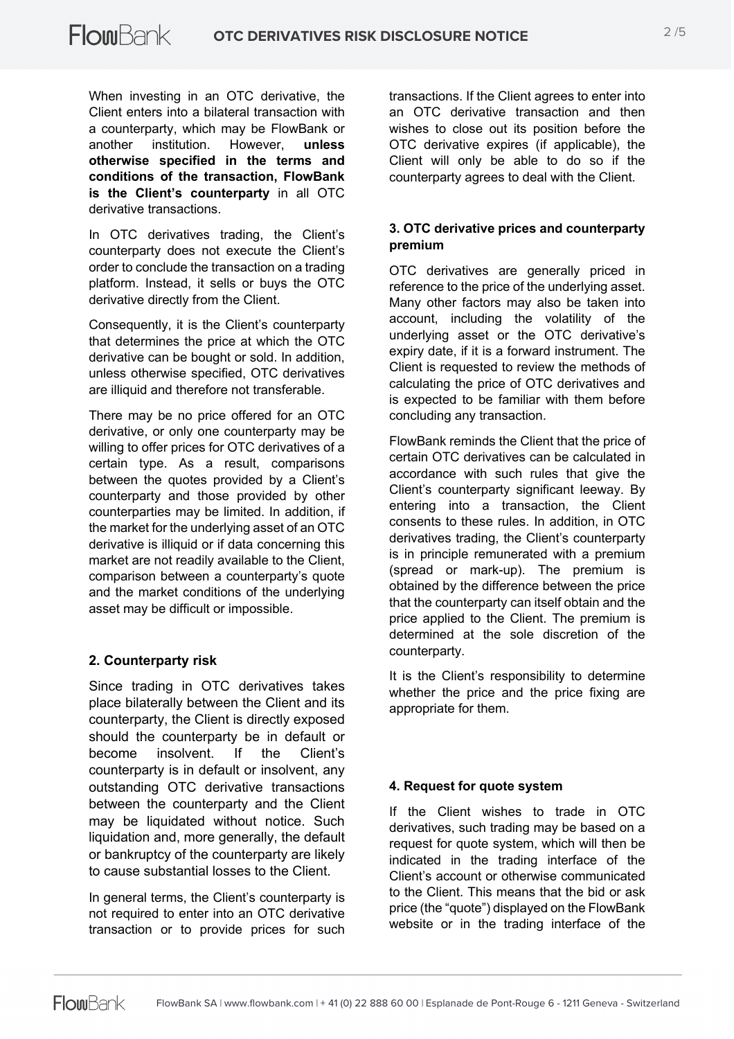When investing in an OTC derivative, the Client enters into a bilateral transaction with a counterparty, which may be FlowBank or another institution. However, **unless otherwise specified in the terms and conditions of the transaction, FlowBank is the Client's counterparty** in all OTC derivative transactions.

In OTC derivatives trading, the Client's counterparty does not execute the Client's order to conclude the transaction on a trading platform. Instead, it sells or buys the OTC derivative directly from the Client.

Consequently, it is the Client's counterparty that determines the price at which the OTC derivative can be bought or sold. In addition, unless otherwise specified, OTC derivatives are illiquid and therefore not transferable.

There may be no price offered for an OTC derivative, or only one counterparty may be willing to offer prices for OTC derivatives of a certain type. As a result, comparisons between the quotes provided by a Client's counterparty and those provided by other counterparties may be limited. In addition, if the market for the underlying asset of an OTC derivative is illiquid or if data concerning this market are not readily available to the Client, comparison between a counterparty's quote and the market conditions of the underlying asset may be difficult or impossible.

# **2. Counterparty risk**

Since trading in OTC derivatives takes place bilaterally between the Client and its counterparty, the Client is directly exposed should the counterparty be in default or become insolvent. If the Client's counterparty is in default or insolvent, any outstanding OTC derivative transactions between the counterparty and the Client may be liquidated without notice. Such liquidation and, more generally, the default or bankruptcy of the counterparty are likely to cause substantial losses to the Client.

In general terms, the Client's counterparty is not required to enter into an OTC derivative transaction or to provide prices for such

transactions. If the Client agrees to enter into an OTC derivative transaction and then wishes to close out its position before the OTC derivative expires (if applicable), the Client will only be able to do so if the counterparty agrees to deal with the Client.

## **3. OTC derivative prices and counterparty premium**

OTC derivatives are generally priced in reference to the price of the underlying asset. Many other factors may also be taken into account, including the volatility of the underlying asset or the OTC derivative's expiry date, if it is a forward instrument. The Client is requested to review the methods of calculating the price of OTC derivatives and is expected to be familiar with them before concluding any transaction.

FlowBank reminds the Client that the price of certain OTC derivatives can be calculated in accordance with such rules that give the Client's counterparty significant leeway. By entering into a transaction, the Client consents to these rules. In addition, in OTC derivatives trading, the Client's counterparty is in principle remunerated with a premium (spread or mark-up). The premium is obtained by the difference between the price that the counterparty can itself obtain and the price applied to the Client. The premium is determined at the sole discretion of the counterparty.

It is the Client's responsibility to determine whether the price and the price fixing are appropriate for them.

## **4. Request for quote system**

If the Client wishes to trade in OTC derivatives, such trading may be based on a request for quote system, which will then be indicated in the trading interface of the Client's account or otherwise communicated to the Client. This means that the bid or ask price (the "quote") displayed on the FlowBank website or in the trading interface of the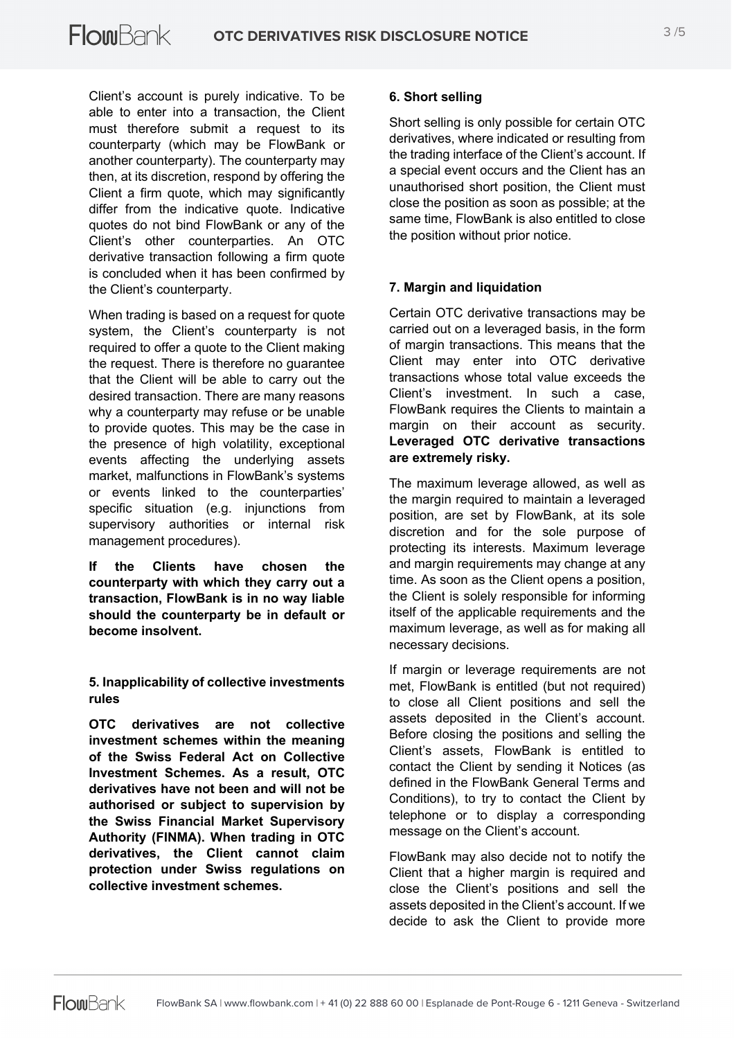Client's account is purely indicative. To be able to enter into a transaction, the Client must therefore submit a request to its counterparty (which may be FlowBank or another counterparty). The counterparty may then, at its discretion, respond by offering the Client a firm quote, which may significantly differ from the indicative quote. Indicative quotes do not bind FlowBank or any of the Client's other counterparties. An OTC derivative transaction following a firm quote is concluded when it has been confirmed by the Client's counterparty.

When trading is based on a request for quote system, the Client's counterparty is not required to offer a quote to the Client making the request. There is therefore no guarantee that the Client will be able to carry out the desired transaction. There are many reasons why a counterparty may refuse or be unable to provide quotes. This may be the case in the presence of high volatility, exceptional events affecting the underlying assets market, malfunctions in FlowBank's systems or events linked to the counterparties' specific situation (e.g. injunctions from supervisory authorities or internal risk management procedures).

**If the Clients have chosen the counterparty with which they carry out a transaction, FlowBank is in no way liable should the counterparty be in default or become insolvent.**

**5. Inapplicability of collective investments rules**

**OTC derivatives are not collective investment schemes within the meaning of the Swiss Federal Act on Collective Investment Schemes. As a result, OTC derivatives have not been and will not be authorised or subject to supervision by the Swiss Financial Market Supervisory Authority (FINMA). When trading in OTC derivatives, the Client cannot claim protection under Swiss regulations on collective investment schemes.**

## **6. Short selling**

Short selling is only possible for certain OTC derivatives, where indicated or resulting from the trading interface of the Client's account. If a special event occurs and the Client has an unauthorised short position, the Client must close the position as soon as possible; at the same time, FlowBank is also entitled to close the position without prior notice.

## **7. Margin and liquidation**

Certain OTC derivative transactions may be carried out on a leveraged basis, in the form of margin transactions. This means that the Client may enter into OTC derivative transactions whose total value exceeds the Client's investment. In such a case, FlowBank requires the Clients to maintain a margin on their account as security. **Leveraged OTC derivative transactions are extremely risky.**

The maximum leverage allowed, as well as the margin required to maintain a leveraged position, are set by FlowBank, at its sole discretion and for the sole purpose of protecting its interests. Maximum leverage and margin requirements may change at any time. As soon as the Client opens a position, the Client is solely responsible for informing itself of the applicable requirements and the maximum leverage, as well as for making all necessary decisions.

If margin or leverage requirements are not met, FlowBank is entitled (but not required) to close all Client positions and sell the assets deposited in the Client's account. Before closing the positions and selling the Client's assets, FlowBank is entitled to contact the Client by sending it Notices (as defined in the FlowBank General Terms and Conditions), to try to contact the Client by telephone or to display a corresponding message on the Client's account.

FlowBank may also decide not to notify the Client that a higher margin is required and close the Client's positions and sell the assets deposited in the Client's account. If we decide to ask the Client to provide more

**FlowBank**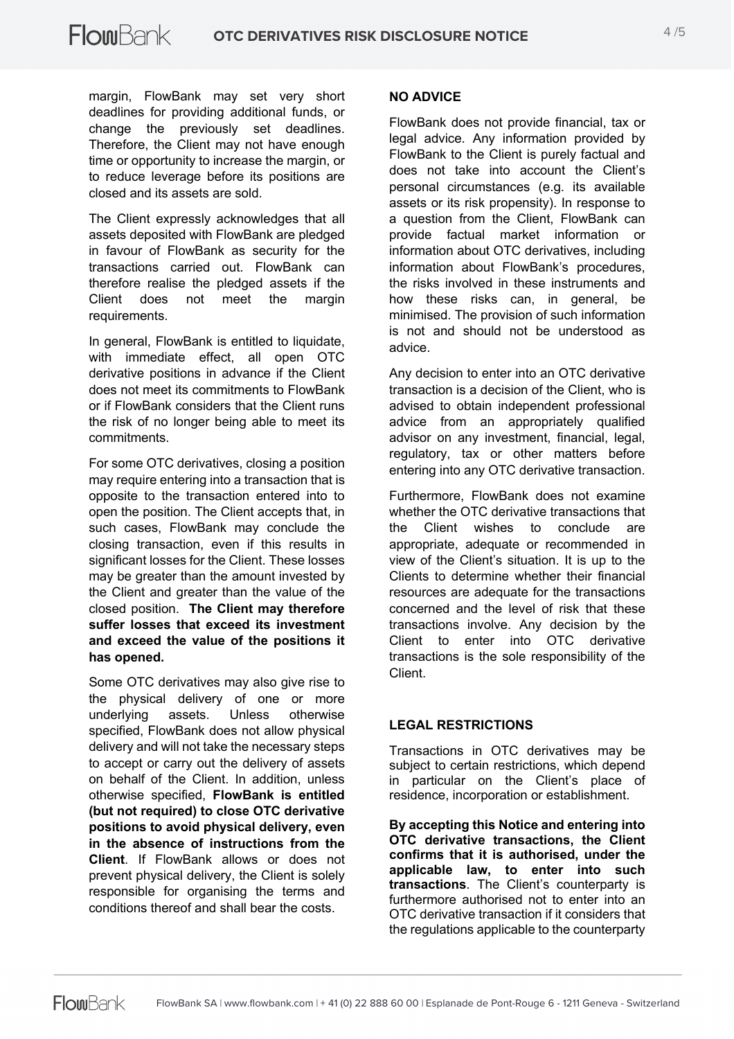margin, FlowBank may set very short deadlines for providing additional funds, or change the previously set deadlines. Therefore, the Client may not have enough time or opportunity to increase the margin, or to reduce leverage before its positions are closed and its assets are sold.

The Client expressly acknowledges that all assets deposited with FlowBank are pledged in favour of FlowBank as security for the transactions carried out. FlowBank can therefore realise the pledged assets if the Client does not meet the margin requirements.

In general, FlowBank is entitled to liquidate, with immediate effect, all open OTC derivative positions in advance if the Client does not meet its commitments to FlowBank or if FlowBank considers that the Client runs the risk of no longer being able to meet its commitments.

For some OTC derivatives, closing a position may require entering into a transaction that is opposite to the transaction entered into to open the position. The Client accepts that, in such cases, FlowBank may conclude the closing transaction, even if this results in significant losses for the Client. These losses may be greater than the amount invested by the Client and greater than the value of the closed position. **The Client may therefore suffer losses that exceed its investment and exceed the value of the positions it has opened.**

Some OTC derivatives may also give rise to the physical delivery of one or more underlying assets. Unless otherwise specified, FlowBank does not allow physical delivery and will not take the necessary steps to accept or carry out the delivery of assets on behalf of the Client. In addition, unless otherwise specified, **FlowBank is entitled (but not required) to close OTC derivative positions to avoid physical delivery, even in the absence of instructions from the Client**. If FlowBank allows or does not prevent physical delivery, the Client is solely responsible for organising the terms and conditions thereof and shall bear the costs.

## **NO ADVICE**

FlowBank does not provide financial, tax or legal advice. Any information provided by FlowBank to the Client is purely factual and does not take into account the Client's personal circumstances (e.g. its available assets or its risk propensity). In response to a question from the Client, FlowBank can provide factual market information or information about OTC derivatives, including information about FlowBank's procedures, the risks involved in these instruments and how these risks can, in general, be minimised. The provision of such information is not and should not be understood as advice.

Any decision to enter into an OTC derivative transaction is a decision of the Client, who is advised to obtain independent professional advice from an appropriately qualified advisor on any investment, financial, legal, regulatory, tax or other matters before entering into any OTC derivative transaction.

Furthermore, FlowBank does not examine whether the OTC derivative transactions that the Client wishes to conclude are appropriate, adequate or recommended in view of the Client's situation. It is up to the Clients to determine whether their financial resources are adequate for the transactions concerned and the level of risk that these transactions involve. Any decision by the Client to enter into OTC derivative transactions is the sole responsibility of the Client.

## **LEGAL RESTRICTIONS**

Transactions in OTC derivatives may be subject to certain restrictions, which depend in particular on the Client's place of residence, incorporation or establishment.

**By accepting this Notice and entering into OTC derivative transactions, the Client confirms that it is authorised, under the applicable law, to enter into such transactions**. The Client's counterparty is furthermore authorised not to enter into an OTC derivative transaction if it considers that the regulations applicable to the counterparty